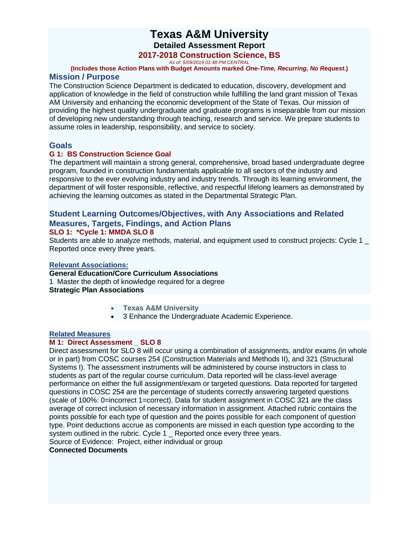## **Texas A&M University Detailed Assessment Report**

## **2017-2018 Construction Science, BS**

*As of: 5/09/2019 01:48 PM CENTRAL*

**(Includes those Action Plans with Budget Amounts marked** *One-Time, Recurring, No Request***.) Mission / Purpose**

The Construction Science Department is dedicated to education, discovery, development and application of knowledge in the field of construction while fulfilling the land grant mission of Texas AM University and enhancing the economic development of the State of Texas. Our mission of providing the highest quality undergraduate and graduate programs is inseparable from our mission of developing new understanding through teaching, research and service. We prepare students to assume roles in leadership, responsibility, and service to society.

## **Goals**

## **G 1: BS Construction Science Goal**

The department will maintain a strong general, comprehensive, broad based undergraduate degree program, founded in construction fundamentals applicable to all sectors of the industry and responsive to the ever evolving industry and industry trends. Through its learning environment, the department of will foster responsible, reflective, and respectful lifelong learners as demonstrated by achieving the learning outcomes as stated in the Departmental Strategic Plan.

# **Student Learning Outcomes/Objectives, with Any Associations and Related Measures, Targets, Findings, and Action Plans**

## **SLO 1: \*Cycle 1: MMDA SLO 8**

Students are able to analyze methods, material, and equipment used to construct projects: Cycle 1 \_ Reported once every three years.

## **Relevant Associations:**

**General Education/Core Curriculum Associations** 1 Master the depth of knowledge required for a degree **Strategic Plan Associations**

- **Texas A&M University**
- 3 Enhance the Undergraduate Academic Experience.

#### **Related Measures**

## **M 1: Direct Assessment \_ SLO 8**

Direct assessment for SLO 8 will occur using a combination of assignments, and/or exams (in whole or in part) from COSC courses 254 (Construction Materials and Methods II), and 321 (Structural Systems I). The assessment instruments will be administered by course instructors in class to students as part of the regular course curriculum. Data reported will be class-level average performance on either the full assignment/exam or targeted questions. Data reported for targeted questions in COSC 254 are the percentage of students correctly answering targeted questions (scale of 100%: 0=incorrect 1=correct). Data for student assignment in COSC 321 are the class average of correct inclusion of necessary information in assignment. Attached rubric contains the points possible for each type of question and the points possible for each component of question type. Point deductions accrue as components are missed in each question type according to the system outlined in the rubric. Cycle 1 Reported once every three years.

Source of Evidence: Project, either individual or group **Connected Documents**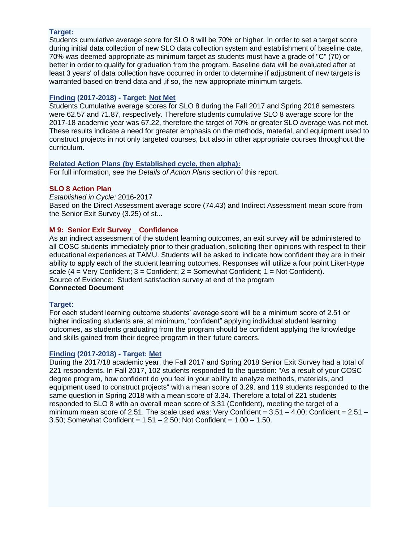## **Target:**

Students cumulative average score for SLO 8 will be 70% or higher. In order to set a target score during initial data collection of new SLO data collection system and establishment of baseline date, 70% was deemed appropriate as minimum target as students must have a grade of "C" (70) or better in order to qualify for graduation from the program. Baseline data will be evaluated after at least 3 years' of data collection have occurred in order to determine if adjustment of new targets is warranted based on trend data and , if so, the new appropriate minimum targets.

## **Finding (2017-2018) - Target: Not Met**

Students Cumulative average scores for SLO 8 during the Fall 2017 and Spring 2018 semesters were 62.57 and 71.87, respectively. Therefore students cumulative SLO 8 average score for the 2017-18 academic year was 67.22, therefore the target of 70% or greater SLO average was not met. These results indicate a need for greater emphasis on the methods, material, and equipment used to construct projects in not only targeted courses, but also in other appropriate courses throughout the curriculum.

## **Related Action Plans (by Established cycle, then alpha):**

For full information, see the *Details of Action Plans* section of this report.

## **SLO 8 Action Plan**

*Established in Cycle:* 2016-2017 Based on the Direct Assessment average score (74.43) and Indirect Assessment mean score from the Senior Exit Survey (3.25) of st...

## **M 9: Senior Exit Survey Confidence**

As an indirect assessment of the student learning outcomes, an exit survey will be administered to all COSC students immediately prior to their graduation, soliciting their opinions with respect to their educational experiences at TAMU. Students will be asked to indicate how confident they are in their ability to apply each of the student learning outcomes. Responses will utilize a four point Likert-type scale  $(4 = \text{Very Conflict}; 3 = \text{Confident}; 2 = \text{Somewhat Conflict}; 1 = \text{Not Conflict}).$ Source of Evidence: Student satisfaction survey at end of the program **Connected Document**

## **Target:**

For each student learning outcome students' average score will be a minimum score of 2.51 or higher indicating students are, at minimum, "confident" applying individual student learning outcomes, as students graduating from the program should be confident applying the knowledge and skills gained from their degree program in their future careers.

## **Finding (2017-2018) - Target: Met**

During the 2017/18 academic year, the Fall 2017 and Spring 2018 Senior Exit Survey had a total of 221 respondents. In Fall 2017, 102 students responded to the question: "As a result of your COSC degree program, how confident do you feel in your ability to analyze methods, materials, and equipment used to construct projects" with a mean score of 3.29. and 119 students responded to the same question in Spring 2018 with a mean score of 3.34. Therefore a total of 221 students responded to SLO 8 with an overall mean score of 3.31 (Confident), meeting the target of a minimum mean score of 2.51. The scale used was: Very Confident =  $3.51 - 4.00$ ; Confident =  $2.51 -$ 3.50; Somewhat Confident = 1.51 – 2.50; Not Confident = 1.00 – 1.50.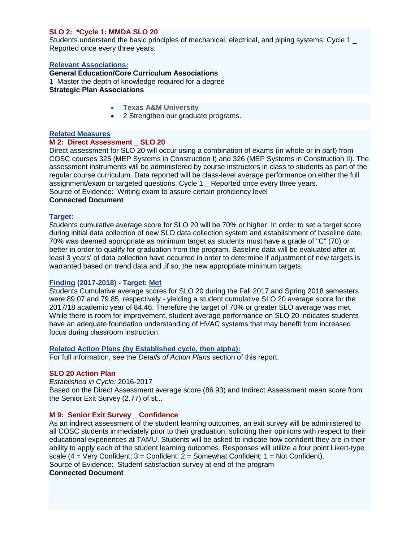## **SLO 2: \*Cycle 1: MMDA SLO 20**

Students understand the basic principles of mechanical, electrical, and piping systems: Cycle 1 \_ Reported once every three years.

#### **Relevant Associations:**

## **General Education/Core Curriculum Associations**

1 Master the depth of knowledge required for a degree **Strategic Plan Associations**

- **Texas A&M University**
- 2 Strengthen our graduate programs.

#### **Related Measures**

#### **M 2: Direct Assessment \_ SLO 20**

Direct assessment for SLO 20 will occur using a combination of exams (in whole or in part) from COSC courses 325 (MEP Systems in Construction I) and 326 (MEP Systems in Construction II). The assessment instruments will be administered by course instructors in class to students as part of the regular course curriculum. Data reported will be class-level average performance on either the full assignment/exam or targeted questions. Cycle 1 \_ Reported once every three years. Source of Evidence: Writing exam to assure certain proficiency level

## **Connected Document**

#### **Target:**

Students cumulative average score for SLO 20 will be 70% or higher. In order to set a target score during initial data collection of new SLO data collection system and establishment of baseline date, 70% was deemed appropriate as minimum target as students must have a grade of "C" (70) or better in order to qualify for graduation from the program. Baseline data will be evaluated after at least 3 years' of data collection have occurred in order to determine if adjustment of new targets is warranted based on trend data and ,if so, the new appropriate minimum targets.

## **Finding (2017-2018) - Target: Met**

Students Cumulative average scores for SLO 20 during the Fall 2017 and Spring 2018 semesters were 89.07 and 79.85, respectively - yielding a student cumulative SLO 20 average score for the 2017/18 academic year of 84.46. Therefore the target of 70% or greater SLO average was met. While there is room for improvement, student average performance on SLO 20 indicates students have an adequate foundation understanding of HVAC systems that may benefit from increased focus during classroom instruction.

## **Related Action Plans (by Established cycle, then alpha):**

For full information, see the *Details of Action Plans* section of this report.

## **SLO 20 Action Plan**

*Established in Cycle:* 2016-2017 Based on the Direct Assessment average score (86.93) and Indirect Assessment mean score from the Senior Exit Survey (2.77) of st...

## **M 9: Senior Exit Survey \_ Confidence**

As an indirect assessment of the student learning outcomes, an exit survey will be administered to all COSC students immediately prior to their graduation, soliciting their opinions with respect to their educational experiences at TAMU. Students will be asked to indicate how confident they are in their ability to apply each of the student learning outcomes. Responses will utilize a four point Likert-type scale  $(4 = \text{Very Confidence}$ ; 3 = Confident; 2 = Somewhat Confident; 1 = Not Confident). Source of Evidence: Student satisfaction survey at end of the program **Connected Document**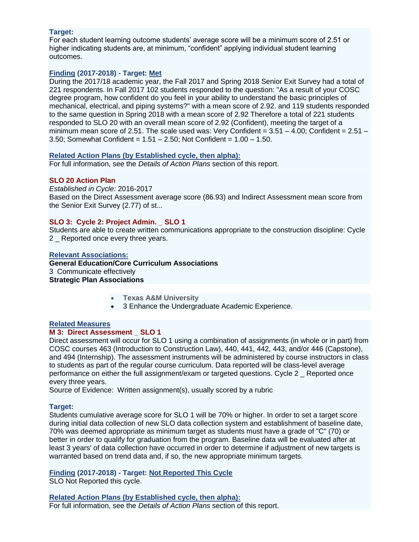## **Target:**

For each student learning outcome students' average score will be a minimum score of 2.51 or higher indicating students are, at minimum, "confident" applying individual student learning outcomes.

## **Finding (2017-2018) - Target: Met**

During the 2017/18 academic year, the Fall 2017 and Spring 2018 Senior Exit Survey had a total of 221 respondents. In Fall 2017 102 students responded to the question: "As a result of your COSC degree program, how confident do you feel in your ability to understand the basic principles of mechanical, electrical, and piping systems?" with a mean score of 2.92. and 119 students responded to the same question in Spring 2018 with a mean score of 2.92 Therefore a total of 221 students responded to SLO 20 with an overall mean score of 2.92 (Confident), meeting the target of a minimum mean score of 2.51. The scale used was: Very Confident =  $3.51 - 4.00$ ; Confident =  $2.51 -$ 3.50; Somewhat Confident =  $1.51 - 2.50$ ; Not Confident =  $1.00 - 1.50$ .

## **Related Action Plans (by Established cycle, then alpha):**

For full information, see the *Details of Action Plans* section of this report.

## **SLO 20 Action Plan**

*Established in Cycle:* 2016-2017 Based on the Direct Assessment average score (86.93) and Indirect Assessment mean score from the Senior Exit Survey (2.77) of st...

## **SLO 3: Cycle 2: Project Admin. \_ SLO 1**

Students are able to create written communications appropriate to the construction discipline: Cycle 2 Reported once every three years.

#### **Relevant Associations:**

**General Education/Core Curriculum Associations** 3 Communicate effectively **Strategic Plan Associations**

- **Texas A&M University**
- 3 Enhance the Undergraduate Academic Experience.

## **Related Measures**

## **M 3: Direct Assessment SLO 1**

Direct assessment will occur for SLO 1 using a combination of assignments (in whole or in part) from COSC courses 463 (Introduction to Construction Law), 440, 441, 442, 443, and/or 446 (Capstone), and 494 (Internship). The assessment instruments will be administered by course instructors in class to students as part of the regular course curriculum. Data reported will be class-level average performance on either the full assignment/exam or targeted questions. Cycle 2 \_ Reported once every three years.

Source of Evidence: Written assignment(s), usually scored by a rubric

## **Target:**

Students cumulative average score for SLO 1 will be 70% or higher. In order to set a target score during initial data collection of new SLO data collection system and establishment of baseline date, 70% was deemed appropriate as minimum target as students must have a grade of "C" (70) or better in order to qualify for graduation from the program. Baseline data will be evaluated after at least 3 years' of data collection have occurred in order to determine if adjustment of new targets is warranted based on trend data and, if so, the new appropriate minimum targets.

## **Finding (2017-2018) - Target: Not Reported This Cycle**

SLO Not Reported this cycle.

**Related Action Plans (by Established cycle, then alpha):** For full information, see the *Details of Action Plans* section of this report.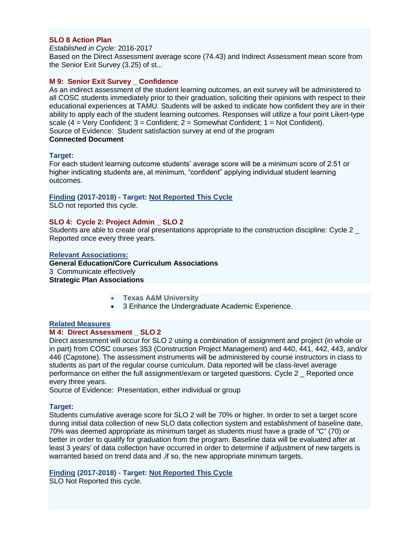#### **SLO 8 Action Plan**

*Established in Cycle:* 2016-2017

Based on the Direct Assessment average score (74.43) and Indirect Assessment mean score from the Senior Exit Survey (3.25) of st...

#### **M 9: Senior Exit Survey \_ Confidence**

As an indirect assessment of the student learning outcomes, an exit survey will be administered to all COSC students immediately prior to their graduation, soliciting their opinions with respect to their educational experiences at TAMU. Students will be asked to indicate how confident they are in their ability to apply each of the student learning outcomes. Responses will utilize a four point Likert-type scale  $(4 = \text{Very Conflict: } 3 = \text{Confident: } 2 = \text{Somewhat Conflict: } 1 = \text{Not Conflict}.$ Source of Evidence: Student satisfaction survey at end of the program **Connected Document**

#### **Target:**

For each student learning outcome students' average score will be a minimum score of 2.51 or higher indicating students are, at minimum, "confident" applying individual student learning outcomes.

#### **Finding (2017-2018) - Target: Not Reported This Cycle** SLO not reported this cycle.

## **SLO 4: Cycle 2: Project Admin \_ SLO 2**

Students are able to create oral presentations appropriate to the construction discipline: Cycle 2 \_ Reported once every three years.

#### **Relevant Associations:**

**General Education/Core Curriculum Associations** 3 Communicate effectively **Strategic Plan Associations**

- **Texas A&M University**
- 3 Enhance the Undergraduate Academic Experience.

#### **Related Measures**

#### **M 4: Direct Assessment \_ SLO 2**

Direct assessment will occur for SLO 2 using a combination of assignment and project (in whole or in part) from COSC courses 353 (Construction Project Management) and 440, 441, 442, 443, and/or 446 (Capstone). The assessment instruments will be administered by course instructors in class to students as part of the regular course curriculum. Data reported will be class-level average performance on either the full assignment/exam or targeted questions. Cycle 2 \_ Reported once every three years.

Source of Evidence: Presentation, either individual or group

#### **Target:**

Students cumulative average score for SLO 2 will be 70% or higher. In order to set a target score during initial data collection of new SLO data collection system and establishment of baseline date, 70% was deemed appropriate as minimum target as students must have a grade of "C" (70) or better in order to qualify for graduation from the program. Baseline data will be evaluated after at least 3 years' of data collection have occurred in order to determine if adjustment of new targets is warranted based on trend data and , if so, the new appropriate minimum targets.

## **Finding (2017-2018) - Target: Not Reported This Cycle**

SLO Not Reported this cycle.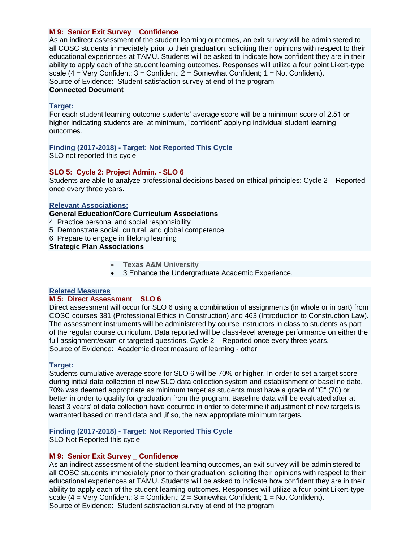#### **M 9: Senior Exit Survey \_ Confidence**

As an indirect assessment of the student learning outcomes, an exit survey will be administered to all COSC students immediately prior to their graduation, soliciting their opinions with respect to their educational experiences at TAMU. Students will be asked to indicate how confident they are in their ability to apply each of the student learning outcomes. Responses will utilize a four point Likert-type scale  $(4 = \text{Very Confidence 3} = \text{Confident}; 2 = \text{Somewhat Conflict}; 1 = \text{Not Conflict}).$ Source of Evidence: Student satisfaction survey at end of the program **Connected Document**

#### **Target:**

For each student learning outcome students' average score will be a minimum score of 2.51 or higher indicating students are, at minimum, "confident" applying individual student learning outcomes.

#### **Finding (2017-2018) - Target: Not Reported This Cycle** SLO not reported this cycle.

#### **SLO 5: Cycle 2: Project Admin. - SLO 6**

Students are able to analyze professional decisions based on ethical principles: Cycle 2 \_ Reported once every three years.

#### **Relevant Associations:**

#### **General Education/Core Curriculum Associations**

- 4 Practice personal and social responsibility
- 5 Demonstrate social, cultural, and global competence
- 6 Prepare to engage in lifelong learning

#### **Strategic Plan Associations**

- **Texas A&M University**
- 3 Enhance the Undergraduate Academic Experience.

#### **Related Measures**

#### **M 5: Direct Assessment \_ SLO 6**

Direct assessment will occur for SLO 6 using a combination of assignments (in whole or in part) from COSC courses 381 (Professional Ethics in Construction) and 463 (Introduction to Construction Law). The assessment instruments will be administered by course instructors in class to students as part of the regular course curriculum. Data reported will be class-level average performance on either the full assignment/exam or targeted questions. Cycle 2 Reported once every three years. Source of Evidence: Academic direct measure of learning - other

#### **Target:**

Students cumulative average score for SLO 6 will be 70% or higher. In order to set a target score during initial data collection of new SLO data collection system and establishment of baseline date, 70% was deemed appropriate as minimum target as students must have a grade of "C" (70) or better in order to qualify for graduation from the program. Baseline data will be evaluated after at least 3 years' of data collection have occurred in order to determine if adjustment of new targets is warranted based on trend data and , if so, the new appropriate minimum targets.

## **Finding (2017-2018) - Target: Not Reported This Cycle**

SLO Not Reported this cycle.

## **M 9: Senior Exit Survey \_ Confidence**

As an indirect assessment of the student learning outcomes, an exit survey will be administered to all COSC students immediately prior to their graduation, soliciting their opinions with respect to their educational experiences at TAMU. Students will be asked to indicate how confident they are in their ability to apply each of the student learning outcomes. Responses will utilize a four point Likert-type scale  $(4 = \text{Very Confidence}$ ;  $3 = \text{Confident}$ ;  $2 = \text{Somewhat Confidence}$ ;  $1 = \text{Not Confidence}$ ; 1. Source of Evidence: Student satisfaction survey at end of the program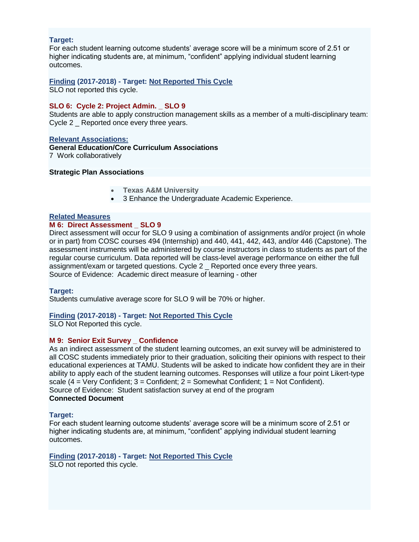#### **Target:**

For each student learning outcome students' average score will be a minimum score of 2.51 or higher indicating students are, at minimum, "confident" applying individual student learning outcomes.

## **Finding (2017-2018) - Target: Not Reported This Cycle**

SLO not reported this cycle.

### **SLO 6: Cycle 2: Project Admin. \_ SLO 9**

Students are able to apply construction management skills as a member of a multi-disciplinary team: Cycle 2 Reported once every three years.

## **Relevant Associations: General Education/Core Curriculum Associations** 7 Work collaboratively

#### **Strategic Plan Associations**

- **Texas A&M University**
- 3 Enhance the Undergraduate Academic Experience.

#### **Related Measures**

#### **M 6: Direct Assessment \_ SLO 9**

Direct assessment will occur for SLO 9 using a combination of assignments and/or project (in whole or in part) from COSC courses 494 (Internship) and 440, 441, 442, 443, and/or 446 (Capstone). The assessment instruments will be administered by course instructors in class to students as part of the regular course curriculum. Data reported will be class-level average performance on either the full assignment/exam or targeted questions. Cycle 2 \_ Reported once every three years. Source of Evidence: Academic direct measure of learning - other

#### **Target:**

Students cumulative average score for SLO 9 will be 70% or higher.

## **Finding (2017-2018) - Target: Not Reported This Cycle**

SLO Not Reported this cycle.

## **M 9: Senior Exit Survey Confidence**

As an indirect assessment of the student learning outcomes, an exit survey will be administered to all COSC students immediately prior to their graduation, soliciting their opinions with respect to their educational experiences at TAMU. Students will be asked to indicate how confident they are in their ability to apply each of the student learning outcomes. Responses will utilize a four point Likert-type scale  $(4 = \text{Very Conflict}; 3 = \text{Confident}; 2 = \text{Somewhat Conflict}; 1 = \text{Not Conflict}).$ Source of Evidence: Student satisfaction survey at end of the program **Connected Document**

#### **Target:**

For each student learning outcome students' average score will be a minimum score of 2.51 or higher indicating students are, at minimum, "confident" applying individual student learning outcomes.

## **Finding (2017-2018) - Target: Not Reported This Cycle**

SLO not reported this cycle.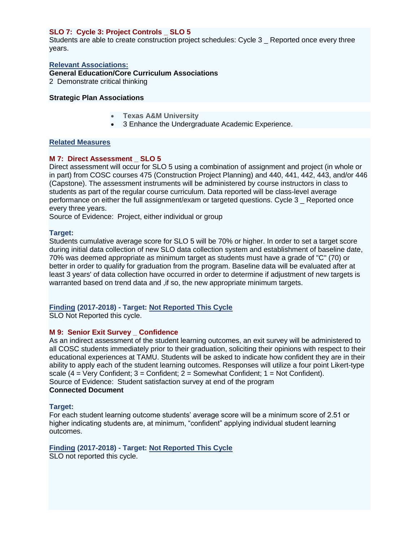## **SLO 7: Cycle 3: Project Controls \_ SLO 5**

Students are able to create construction project schedules: Cycle 3 \_ Reported once every three years.

**Relevant Associations: General Education/Core Curriculum Associations**

2 Demonstrate critical thinking

## **Strategic Plan Associations**

- **Texas A&M University**
- 3 Enhance the Undergraduate Academic Experience.

## **Related Measures**

## **M 7: Direct Assessment SLO 5**

Direct assessment will occur for SLO 5 using a combination of assignment and project (in whole or in part) from COSC courses 475 (Construction Project Planning) and 440, 441, 442, 443, and/or 446 (Capstone). The assessment instruments will be administered by course instructors in class to students as part of the regular course curriculum. Data reported will be class-level average performance on either the full assignment/exam or targeted questions. Cycle 3 \_ Reported once every three years.

Source of Evidence: Project, either individual or group

#### **Target:**

Students cumulative average score for SLO 5 will be 70% or higher. In order to set a target score during initial data collection of new SLO data collection system and establishment of baseline date, 70% was deemed appropriate as minimum target as students must have a grade of "C" (70) or better in order to qualify for graduation from the program. Baseline data will be evaluated after at least 3 years' of data collection have occurred in order to determine if adjustment of new targets is warranted based on trend data and , if so, the new appropriate minimum targets.

#### **Finding (2017-2018) - Target: Not Reported This Cycle** SLO Not Reported this cycle.

## **M 9: Senior Exit Survey Confidence**

As an indirect assessment of the student learning outcomes, an exit survey will be administered to all COSC students immediately prior to their graduation, soliciting their opinions with respect to their educational experiences at TAMU. Students will be asked to indicate how confident they are in their ability to apply each of the student learning outcomes. Responses will utilize a four point Likert-type scale  $(4 = \text{Very confident}; 3 = \text{Confident}; 2 = \text{Somewhat Conflict}; 1 = \text{Not Conflict}).$ Source of Evidence: Student satisfaction survey at end of the program **Connected Document**

## **Target:**

For each student learning outcome students' average score will be a minimum score of 2.51 or higher indicating students are, at minimum, "confident" applying individual student learning outcomes.

#### **Finding (2017-2018) - Target: Not Reported This Cycle** SLO not reported this cycle.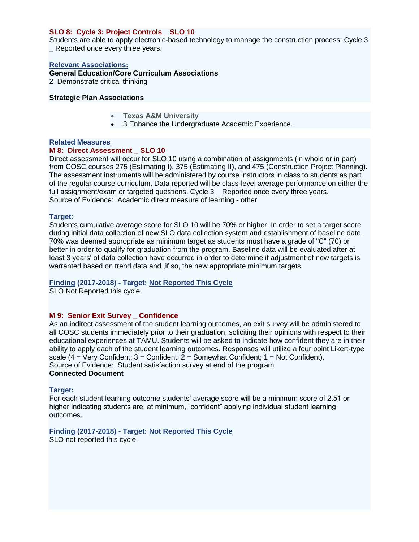## **SLO 8: Cycle 3: Project Controls \_ SLO 10**

Students are able to apply electronic-based technology to manage the construction process: Cycle 3 Reported once every three years.

#### **Relevant Associations:**

**General Education/Core Curriculum Associations**

2 Demonstrate critical thinking

## **Strategic Plan Associations**

- **Texas A&M University**
- 3 Enhance the Undergraduate Academic Experience.

#### **Related Measures**

## **M 8: Direct Assessment SLO 10**

Direct assessment will occur for SLO 10 using a combination of assignments (in whole or in part) from COSC courses 275 (Estimating I), 375 (Estimating II), and 475 (Construction Project Planning). The assessment instruments will be administered by course instructors in class to students as part of the regular course curriculum. Data reported will be class-level average performance on either the full assignment/exam or targeted questions. Cycle 3 \_ Reported once every three years. Source of Evidence: Academic direct measure of learning - other

#### **Target:**

Students cumulative average score for SLO 10 will be 70% or higher. In order to set a target score during initial data collection of new SLO data collection system and establishment of baseline date, 70% was deemed appropriate as minimum target as students must have a grade of "C" (70) or better in order to qualify for graduation from the program. Baseline data will be evaluated after at least 3 years' of data collection have occurred in order to determine if adjustment of new targets is warranted based on trend data and ,if so, the new appropriate minimum targets.

## **Finding (2017-2018) - Target: Not Reported This Cycle**

SLO Not Reported this cycle.

## **M 9: Senior Exit Survey \_ Confidence**

As an indirect assessment of the student learning outcomes, an exit survey will be administered to all COSC students immediately prior to their graduation, soliciting their opinions with respect to their educational experiences at TAMU. Students will be asked to indicate how confident they are in their ability to apply each of the student learning outcomes. Responses will utilize a four point Likert-type scale  $(4 = \text{Very Confidence}$ ;  $3 = \text{Confident}$ ;  $2 = \text{Somewhat Confidence}$ ;  $1 = \text{Not Confidence}$ ; 1 Source of Evidence: Student satisfaction survey at end of the program **Connected Document**

## **Target:**

For each student learning outcome students' average score will be a minimum score of 2.51 or higher indicating students are, at minimum, "confident" applying individual student learning outcomes.

## **Finding (2017-2018) - Target: Not Reported This Cycle**

SLO not reported this cycle.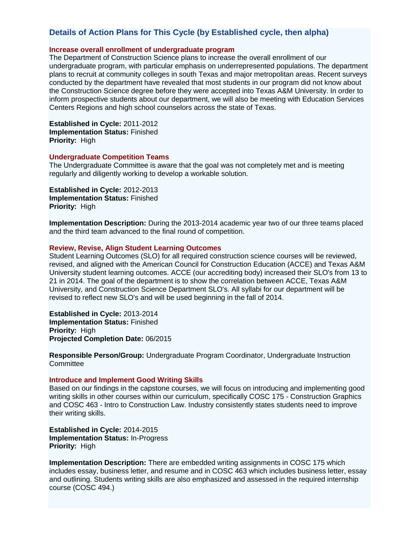## **Details of Action Plans for This Cycle (by Established cycle, then alpha)**

## **Increase overall enrollment of undergraduate program**

The Department of Construction Science plans to increase the overall enrollment of our undergraduate program, with particular emphasis on underrepresented populations. The department plans to recruit at community colleges in south Texas and major metropolitan areas. Recent surveys conducted by the department have revealed that most students in our program did not know about the Construction Science degree before they were accepted into Texas A&M University. In order to inform prospective students about our department, we will also be meeting with Education Services Centers Regions and high school counselors across the state of Texas.

**Established in Cycle:** 2011-2012 **Implementation Status:** Finished **Priority:** High

#### **Undergraduate Competition Teams**

The Undergraduate Committee is aware that the goal was not completely met and is meeting regularly and diligently working to develop a workable solution.

**Established in Cycle:** 2012-2013 **Implementation Status:** Finished **Priority:** High

**Implementation Description:** During the 2013-2014 academic year two of our three teams placed and the third team advanced to the final round of competition.

#### **Review, Revise, Align Student Learning Outcomes**

Student Learning Outcomes (SLO) for all required construction science courses will be reviewed, revised, and aligned with the American Council for Construction Education (ACCE) and Texas A&M University student learning outcomes. ACCE (our accrediting body) increased their SLO's from 13 to 21 in 2014. The goal of the department is to show the correlation between ACCE, Texas A&M University, and Construction Science Department SLO's. All syllabi for our department will be revised to reflect new SLO's and will be used beginning in the fall of 2014.

**Established in Cycle:** 2013-2014 **Implementation Status:** Finished **Priority:** High **Projected Completion Date:** 06/2015

**Responsible Person/Group:** Undergraduate Program Coordinator, Undergraduate Instruction **Committee** 

### **Introduce and Implement Good Writing Skills**

Based on our findings in the capstone courses, we will focus on introducing and implementing good writing skills in other courses within our curriculum, specifically COSC 175 - Construction Graphics and COSC 463 - Intro to Construction Law. Industry consistently states students need to improve their writing skills.

**Established in Cycle:** 2014-2015 **Implementation Status:** In-Progress **Priority:** High

**Implementation Description:** There are embedded writing assignments in COSC 175 which includes essay, business letter, and resume and in COSC 463 which includes business letter, essay and outlining. Students writing skills are also emphasized and assessed in the required internship course (COSC 494.)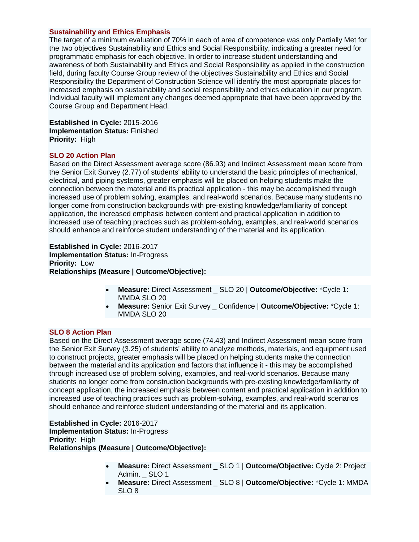#### **Sustainability and Ethics Emphasis**

The target of a minimum evaluation of 70% in each of area of competence was only Partially Met for the two objectives Sustainability and Ethics and Social Responsibility, indicating a greater need for programmatic emphasis for each objective. In order to increase student understanding and awareness of both Sustainability and Ethics and Social Responsibility as applied in the construction field, during faculty Course Group review of the objectives Sustainability and Ethics and Social Responsibility the Department of Construction Science will identify the most appropriate places for increased emphasis on sustainability and social responsibility and ethics education in our program. Individual faculty will implement any changes deemed appropriate that have been approved by the Course Group and Department Head.

**Established in Cycle:** 2015-2016 **Implementation Status:** Finished **Priority:** High

#### **SLO 20 Action Plan**

Based on the Direct Assessment average score (86.93) and Indirect Assessment mean score from the Senior Exit Survey (2.77) of students' ability to understand the basic principles of mechanical, electrical, and piping systems, greater emphasis will be placed on helping students make the connection between the material and its practical application - this may be accomplished through increased use of problem solving, examples, and real-world scenarios. Because many students no longer come from construction backgrounds with pre-existing knowledge/familiarity of concept application, the increased emphasis between content and practical application in addition to increased use of teaching practices such as problem-solving, examples, and real-world scenarios should enhance and reinforce student understanding of the material and its application.

**Established in Cycle:** 2016-2017 **Implementation Status:** In-Progress **Priority:** Low **Relationships (Measure | Outcome/Objective):**

- **Measure:** Direct Assessment \_ SLO 20 | **Outcome/Objective:** \*Cycle 1: MMDA SLO 20
- **Measure:** Senior Exit Survey \_ Confidence | **Outcome/Objective:** \*Cycle 1: MMDA SLO 20

#### **SLO 8 Action Plan**

Based on the Direct Assessment average score (74.43) and Indirect Assessment mean score from the Senior Exit Survey (3.25) of students' ability to analyze methods, materials, and equipment used to construct projects, greater emphasis will be placed on helping students make the connection between the material and its application and factors that influence it - this may be accomplished through increased use of problem solving, examples, and real-world scenarios. Because many students no longer come from construction backgrounds with pre-existing knowledge/familiarity of concept application, the increased emphasis between content and practical application in addition to increased use of teaching practices such as problem-solving, examples, and real-world scenarios should enhance and reinforce student understanding of the material and its application.

**Established in Cycle:** 2016-2017 **Implementation Status:** In-Progress **Priority:** High **Relationships (Measure | Outcome/Objective):**

- **Measure:** Direct Assessment \_ SLO 1 | **Outcome/Objective:** Cycle 2: Project Admin. SLO 1
- **Measure:** Direct Assessment \_ SLO 8 | **Outcome/Objective:** \*Cycle 1: MMDA SLO 8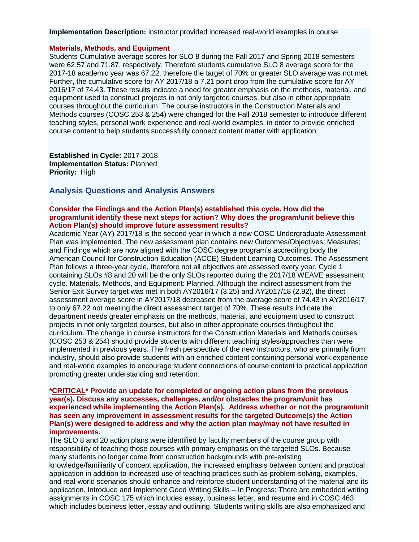**Implementation Description:** instructor provided increased real-world examples in course

#### **Materials, Methods, and Equipment**

Students Cumulative average scores for SLO 8 during the Fall 2017 and Spring 2018 semesters were 62.57 and 71.87, respectively. Therefore students cumulative SLO 8 average score for the 2017-18 academic year was 67.22, therefore the target of 70% or greater SLO average was not met. Further, the cumulative score for AY 2017/18 a 7.21 point drop from the cumulative score for AY 2016/17 of 74.43. These results indicate a need for greater emphasis on the methods, material, and equipment used to construct projects in not only targeted courses, but also in other appropriate courses throughout the curriculum. The course instructors in the Construction Materials and Methods courses (COSC 253 & 254) were changed for the Fall 2018 semester to introduce different teaching styles, personal work experience and real-world examples, in order to provide enriched course content to help students successfully connect content matter with application.

**Established in Cycle:** 2017-2018 **Implementation Status:** Planned **Priority:** High

## **Analysis Questions and Analysis Answers**

### **Consider the Findings and the Action Plan(s) established this cycle. How did the program/unit identify these next steps for action? Why does the program/unit believe this Action Plan(s) should improve future assessment results?**

Academic Year (AY) 2017/18 is the second year in which a new COSC Undergraduate Assessment Plan was implemented. The new assessment plan contains new Outcomes/Objectives; Measures; and Findings which are now aligned with the COSC degree program's accrediting body the American Council for Construction Education (ACCE) Student Learning Outcomes. The Assessment Plan follows a three-year cycle, therefore not all objectives are assessed every year. Cycle 1 containing SLOs #8 and 20 will be the only SLOs reported during the 2017/18 WEAVE assessment cycle. Materials, Methods, and Equipment: Planned. Although the indirect assessment from the Senior Exit Survey target was met in both AY2016/17 (3.25) and AY2017/18 (2.92), the direct assessment average score in AY2017/18 decreased from the average score of 74.43 in AY2016/17 to only 67.22 not meeting the direct assessment target of 70%. These results indicate the department needs greater emphasis on the methods, material, and equipment used to construct projects in not only targeted courses, but also in other appropriate courses throughout the curriculum. The change in course instructors for the Construction Materials and Methods courses (COSC 253 & 254) should provide students with different teaching styles/approaches than were implemented in previous years. The fresh perspective of the new instructors, who are primarily from industry, should also provide students with an enriched content containing personal work experience and real-world examples to encourage student connections of course content to practical application promoting greater understanding and retention.

#### **\*CRITICAL\* Provide an update for completed or ongoing action plans from the previous year(s). Discuss any successes, challenges, and/or obstacles the program/unit has experienced while implementing the Action Plan(s). Address whether or not the program/unit has seen any improvement in assessment results for the targeted Outcome(s) the Action Plan(s) were designed to address and why the action plan may/may not have resulted in improvements.**

The SLO 8 and 20 action plans were identified by faculty members of the course group with responsibility of teaching those courses with primary emphasis on the targeted SLOs. Because many students no longer come from construction backgrounds with pre-existing knowledge/familiarity of concept application, the increased emphasis between content and practical application in addition to increased use of teaching practices such as problem-solving, examples, and real-world scenarios should enhance and reinforce student understanding of the material and its application. Introduce and Implement Good Writing Skills – In Progress: There are embedded writing assignments in COSC 175 which includes essay, business letter, and resume and in COSC 463 which includes business letter, essay and outlining. Students writing skills are also emphasized and